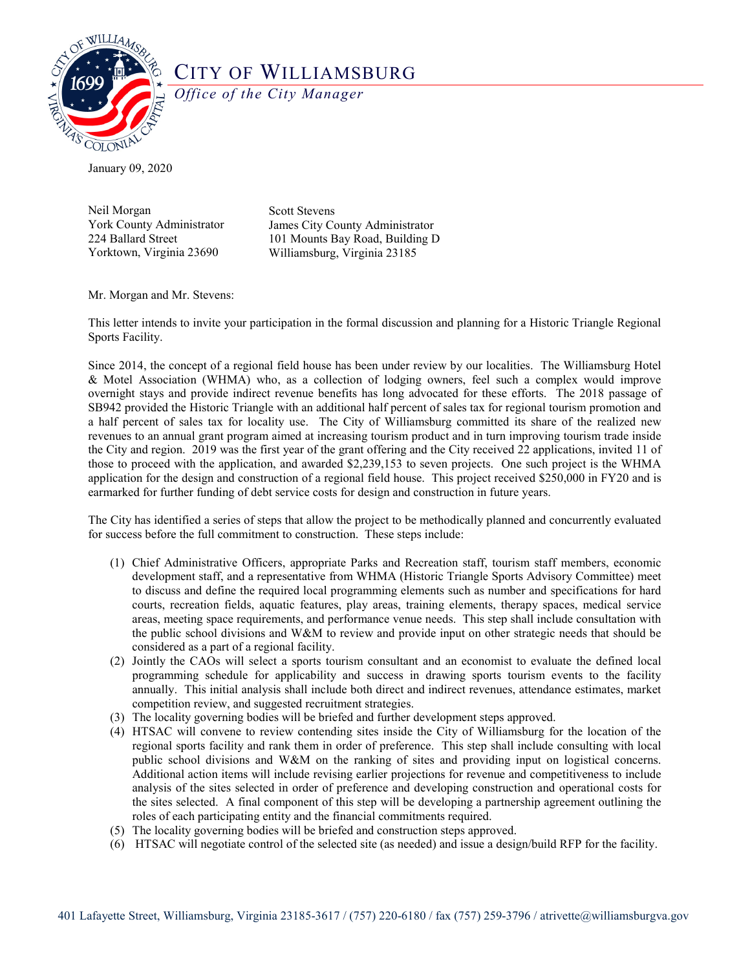

## CITY OF WILLIAMSBURG

*Office of the City Manager*

January 09, 2020

Neil Morgan York County Administrator 224 Ballard Street Yorktown, Virginia 23690

Scott Stevens James City County Administrator 101 Mounts Bay Road, Building D Williamsburg, Virginia 23185

Mr. Morgan and Mr. Stevens:

This letter intends to invite your participation in the formal discussion and planning for a Historic Triangle Regional Sports Facility.

Since 2014, the concept of a regional field house has been under review by our localities. The Williamsburg Hotel & Motel Association (WHMA) who, as a collection of lodging owners, feel such a complex would improve overnight stays and provide indirect revenue benefits has long advocated for these efforts. The 2018 passage of SB942 provided the Historic Triangle with an additional half percent of sales tax for regional tourism promotion and a half percent of sales tax for locality use. The City of Williamsburg committed its share of the realized new revenues to an annual grant program aimed at increasing tourism product and in turn improving tourism trade inside the City and region. 2019 was the first year of the grant offering and the City received 22 applications, invited 11 of those to proceed with the application, and awarded \$2,239,153 to seven projects. One such project is the WHMA application for the design and construction of a regional field house. This project received \$250,000 in FY20 and is earmarked for further funding of debt service costs for design and construction in future years.

The City has identified a series of steps that allow the project to be methodically planned and concurrently evaluated for success before the full commitment to construction. These steps include:

- (1) Chief Administrative Officers, appropriate Parks and Recreation staff, tourism staff members, economic development staff, and a representative from WHMA (Historic Triangle Sports Advisory Committee) meet to discuss and define the required local programming elements such as number and specifications for hard courts, recreation fields, aquatic features, play areas, training elements, therapy spaces, medical service areas, meeting space requirements, and performance venue needs. This step shall include consultation with the public school divisions and W&M to review and provide input on other strategic needs that should be considered as a part of a regional facility.
- (2) Jointly the CAOs will select a sports tourism consultant and an economist to evaluate the defined local programming schedule for applicability and success in drawing sports tourism events to the facility annually. This initial analysis shall include both direct and indirect revenues, attendance estimates, market competition review, and suggested recruitment strategies.
- (3) The locality governing bodies will be briefed and further development steps approved.
- (4) HTSAC will convene to review contending sites inside the City of Williamsburg for the location of the regional sports facility and rank them in order of preference. This step shall include consulting with local public school divisions and W&M on the ranking of sites and providing input on logistical concerns. Additional action items will include revising earlier projections for revenue and competitiveness to include analysis of the sites selected in order of preference and developing construction and operational costs for the sites selected. A final component of this step will be developing a partnership agreement outlining the roles of each participating entity and the financial commitments required.
- (5) The locality governing bodies will be briefed and construction steps approved.
- (6) HTSAC will negotiate control of the selected site (as needed) and issue a design/build RFP for the facility.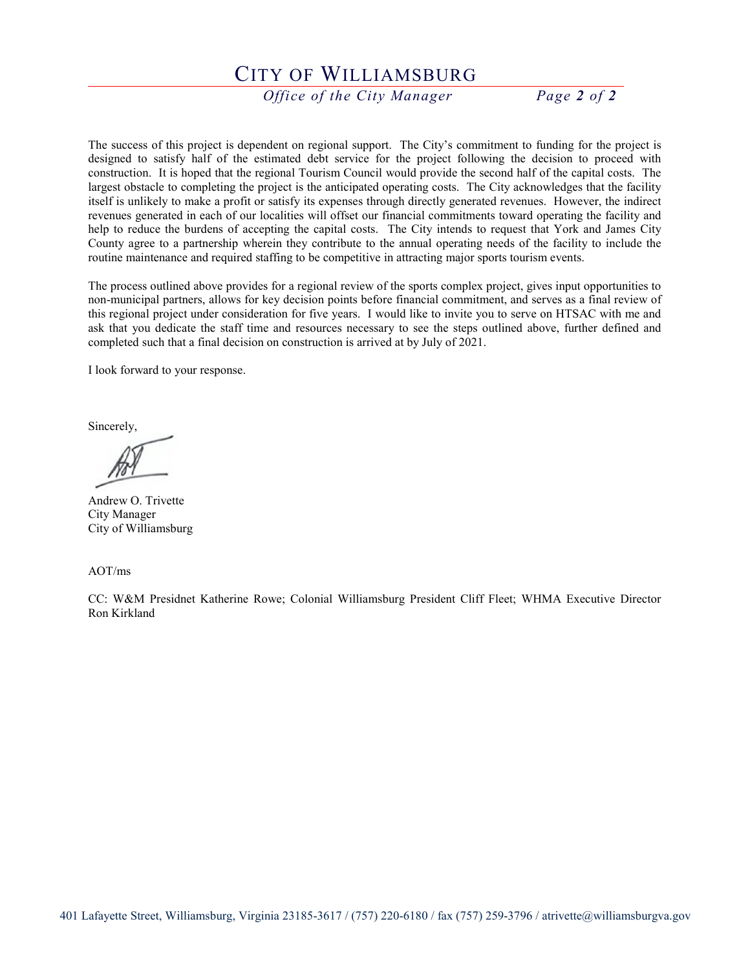## CITY OF WILLIAMSBURG

*Office of the City Manager Page 2 of 2* 

The success of this project is dependent on regional support. The City's commitment to funding for the project is designed to satisfy half of the estimated debt service for the project following the decision to proceed with construction. It is hoped that the regional Tourism Council would provide the second half of the capital costs. The largest obstacle to completing the project is the anticipated operating costs. The City acknowledges that the facility itself is unlikely to make a profit or satisfy its expenses through directly generated revenues. However, the indirect revenues generated in each of our localities will offset our financial commitments toward operating the facility and help to reduce the burdens of accepting the capital costs. The City intends to request that York and James City County agree to a partnership wherein they contribute to the annual operating needs of the facility to include the routine maintenance and required staffing to be competitive in attracting major sports tourism events.

The process outlined above provides for a regional review of the sports complex project, gives input opportunities to non-municipal partners, allows for key decision points before financial commitment, and serves as a final review of this regional project under consideration for five years. I would like to invite you to serve on HTSAC with me and ask that you dedicate the staff time and resources necessary to see the steps outlined above, further defined and completed such that a final decision on construction is arrived at by July of 2021.

I look forward to your response.

Sincerely,

Andrew O. Trivette City Manager City of Williamsburg

AOT/ms

CC: W&M Presidnet Katherine Rowe; Colonial Williamsburg President Cliff Fleet; WHMA Executive Director Ron Kirkland